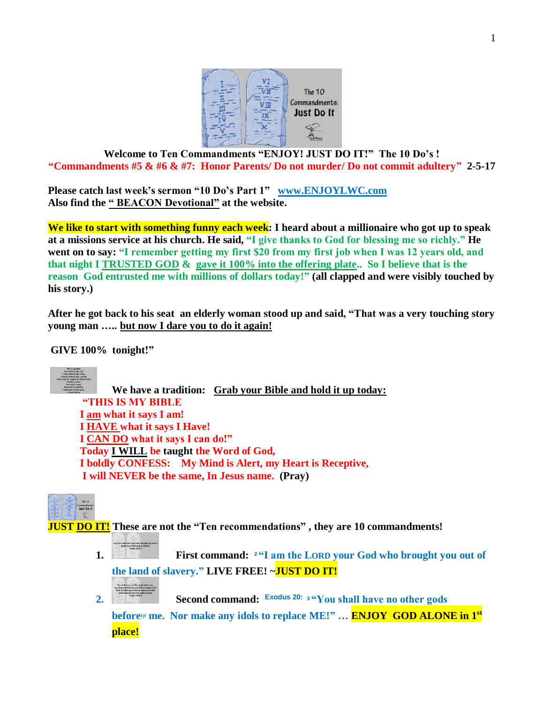

**Welcome to Ten Commandments "ENJOY! JUST DO IT!" The 10 Do's ! "Commandments #5 & #6 & #7: Honor Parents/ Do not murder/ Do not commit adultery" 2-5-17**

**Please catch last week's sermon "10 Do's Part 1" [www.ENJOYLWC.com](http://www.enjoylwc.com/)  Also find the " BEACON Devotional" at the website.**

**We like to start with something funny each week: I heard about a millionaire who got up to speak at a missions service at his church. He said, "I give thanks to God for blessing me so richly." He went on to say: "I remember getting my first \$20 from my first job when I was 12 years old, and that night I TRUSTED GOD & gave it 100% into the offering plate.. So I believe that is the reason God entrusted me with millions of dollars today!" (all clapped and were visibly touched by his story.)** 

**After he got back to his seat an elderly woman stood up and said, "That was a very touching story young man ….. but now I dare you to do it again!**

**GIVE 100% tonight!"**



**JUST DO IT! These are not the "Ten recommendations" , they are 10 commandments!** 

- **1. First command: <sup>2</sup> "I am the LORD your God who brought you out of the land of slavery." LIVE FREE! ~JUST DO IT!**
	-

**2. Second command: Exodus 20: <sup>3</sup> "You shall have no other gods** 

**before[\[a\]](https://www.biblegateway.com/passage/?search=exodus+20%3A2-5&version=NIV#fen-NIV-2055a) me. Nor make any idols to replace ME!" … ENJOY GOD ALONE in 1st place!**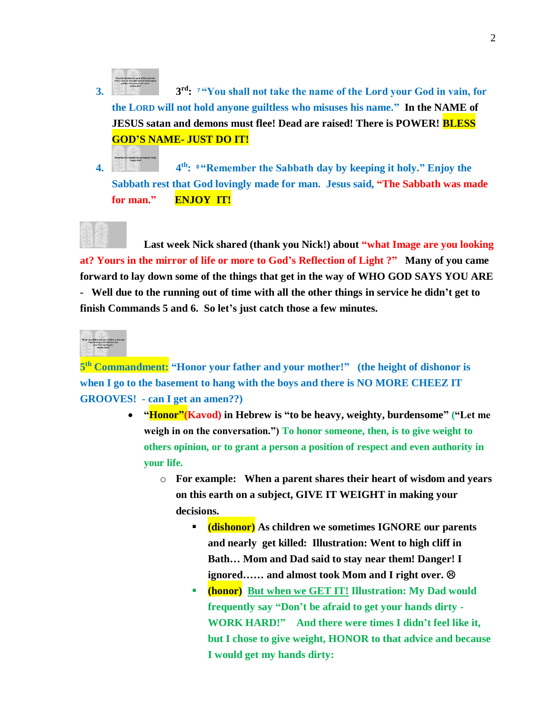

**3. 3 rd: <sup>7</sup> "You shall not take the name of the Lord your God in vain, for the LORD will not hold anyone guiltless who misuses his name." In the NAME of JESUS satan and demons must flee! Dead are raised! There is POWER! BLESS GOD'S NAME- JUST DO IT!**

**4. 4 th: <sup>8</sup> "Remember the Sabbath day by keeping it holy." Enjoy the Sabbath rest that God lovingly made for man. Jesus said, "The Sabbath was made for man." ENJOY IT!**

**Last week Nick shared (thank you Nick!) about "what Image are you looking at? Yours in the mirror of life or more to God's Reflection of Light ?" Many of you came forward to lay down some of the things that get in the way of WHO GOD SAYS YOU ARE - Well due to the running out of time with all the other things in service he didn't get to finish Commands 5 and 6. So let's just catch those a few minutes.** 



**5 <u>Commandment:</u> "Honor your father and your mother!"** (the height of dishonor is **when I go to the basement to hang with the boys and there is NO MORE CHEEZ IT GROOVES! - can I get an amen??)** 

- **"Honor"(Kavod) in Hebrew is "to be heavy, weighty, burdensome" ("Let me weigh in on the conversation.") To honor someone, then, is to give weight to others opinion, or to grant a person a position of respect and even authority in your life.**
	- o **For example: When a parent shares their heart of wisdom and years on this earth on a subject, GIVE IT WEIGHT in making your decisions.** 
		- **(dishonor) As children we sometimes IGNORE our parents and nearly get killed: Illustration: Went to high cliff in Bath… Mom and Dad said to stay near them! Danger! I ignored…… and almost took Mom and I right over.**
		- **(honor) But when we GET IT! Illustration: My Dad would frequently say "Don't be afraid to get your hands dirty - WORK HARD!" And there were times I didn't feel like it, but I chose to give weight, HONOR to that advice and because I would get my hands dirty:**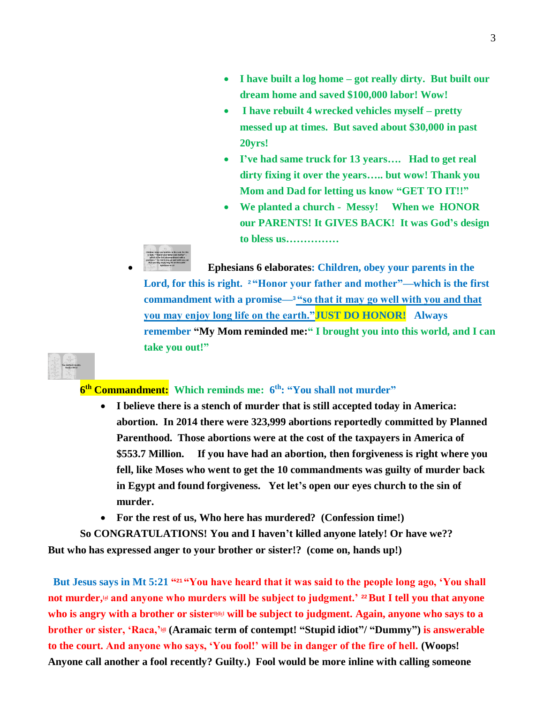- **I have built a log home – got really dirty. But built our dream home and saved \$100,000 labor! Wow!**
- **I have rebuilt 4 wrecked vehicles myself – pretty messed up at times. But saved about \$30,000 in past 20yrs!**
- **I've had same truck for 13 years…. Had to get real dirty fixing it over the years….. but wow! Thank you Mom and Dad for letting us know "GET TO IT!!"**
- **We planted a church Messy! When we HONOR our PARENTS! It GIVES BACK! It was God's design to bless us……………**

|  | Children, obey your parents in the Lord, for this<br>is right. <sup>2</sup> "Honor your father and mother"-<br>which is the first commandment with a |
|--|------------------------------------------------------------------------------------------------------------------------------------------------------|
|  | promise-1 "so that it may go well with you and                                                                                                       |
|  | that you may enjoy long life on the earth."                                                                                                          |
|  | Ephesians 6:1-3                                                                                                                                      |

 **Ephesians 6 elaborates: Children, obey your parents in the**  Lord, for this is right. <sup>2</sup> "Honor your father and mother"—which is the first **commandment with a promise—<sup>3</sup> "so that it may go well with you and that you may enjoy long life on the earth."JUST DO HONOR! Always remember "My Mom reminded me:" I brought you into this world, and I can take you out!"**



#### **6 th Commandment: Which reminds me: 6 th: "You shall not murder"**

- **I believe there is a stench of murder that is still accepted today in America: abortion. In 2014 there were 323,999 abortions reportedly committed by Planned Parenthood. Those abortions were at the cost of the taxpayers in America of \$553.7 Million. If you have had an abortion, then forgiveness is right where you fell, like Moses who went to get the 10 commandments was guilty of murder back in Egypt and found forgiveness. Yet let's open our eyes church to the sin of murder.**
- **For the rest of us, Who here has murdered? (Confession time!)**

**So CONGRATULATIONS! You and I haven't killed anyone lately! Or have we?? But who has expressed anger to your brother or sister!? (come on, hands up!)** 

 **But Jesus says in Mt 5:21 "<sup>21</sup> "You have heard that it was said to the people long ago, 'You shall not murder,[\[a\]](https://www.biblegateway.com/passage/?search=Matthew+5%3A21-24&version=NIV#fen-NIV-23256a) and anyone who murders will be subject to judgment.' <sup>22</sup>But I tell you that anyone who is angry with a brother or sister[\[b\]](https://www.biblegateway.com/passage/?search=Matthew+5%3A21-24&version=NIV#fen-NIV-23257b)[\[c\]](https://www.biblegateway.com/passage/?search=Matthew+5%3A21-24&version=NIV#fen-NIV-23257c) will be subject to judgment. Again, anyone who says to a brother or sister, 'Raca,'[\[d\]](https://www.biblegateway.com/passage/?search=Matthew+5%3A21-24&version=NIV#fen-NIV-23257d) (Aramaic term of contempt! "Stupid idiot"/ "Dummy") is answerable to the court. And anyone who says, 'You fool!' will be in danger of the fire of hell. (Woops! Anyone call another a fool recently? Guilty.) Fool would be more inline with calling someone**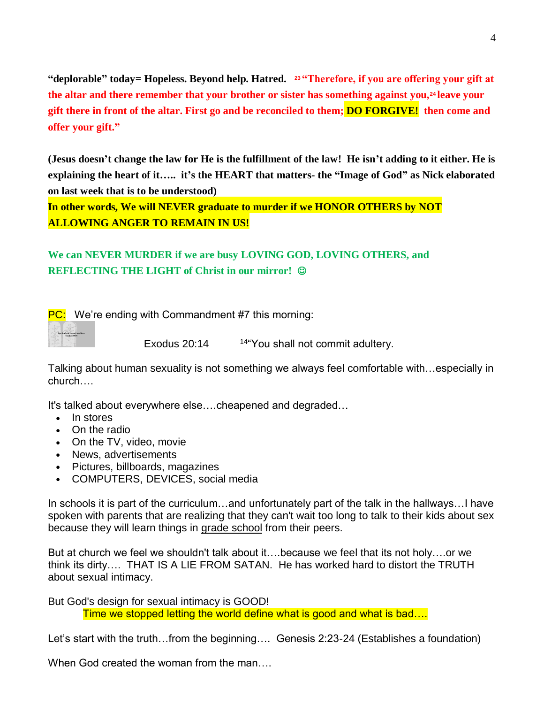**"deplorable" today= Hopeless. Beyond help. Hatred. <sup>23</sup> "Therefore, if you are offering your gift at the altar and there remember that your brother or sister has something against you,<sup>24</sup> leave your gift there in front of the altar. First go and be reconciled to them; DO FORGIVE! then come and offer your gift."** 

**(Jesus doesn't change the law for He is the fulfillment of the law! He isn't adding to it either. He is explaining the heart of it….. it's the HEART that matters- the "Image of God" as Nick elaborated on last week that is to be understood)**

**In other words, We will NEVER graduate to murder if we HONOR OTHERS by NOT ALLOWING ANGER TO REMAIN IN US!**

## **We can NEVER MURDER if we are busy LOVING GOD, LOVING OTHERS, and REFLECTING THE LIGHT of Christ in our mirror!**

**PC:** We're ending with Commandment #7 this morning:

Exodus 20:14  $14^{\circ}$ You shall not commit adultery.

Talking about human sexuality is not something we always feel comfortable with…especially in church….

It's talked about everywhere else….cheapened and degraded…

- In stores
- On the radio
- On the TV, video, movie
- News, advertisements
- Pictures, billboards, magazines
- COMPUTERS, DEVICES, social media

In schools it is part of the curriculum…and unfortunately part of the talk in the hallways…I have spoken with parents that are realizing that they can't wait too long to talk to their kids about sex because they will learn things in grade school from their peers.

But at church we feel we shouldn't talk about it….because we feel that its not holy….or we think its dirty…. THAT IS A LIE FROM SATAN. He has worked hard to distort the TRUTH about sexual intimacy.

But God's design for sexual intimacy is GOOD! Time we stopped letting the world define what is good and what is bad….

Let's start with the truth…from the beginning…. Genesis 2:23-24 (Establishes a foundation)

When God created the woman from the man….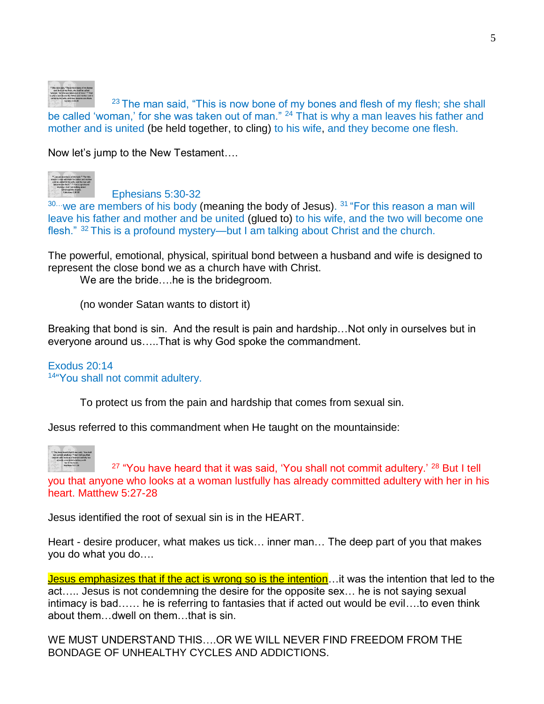

 $23$  The man said, "This is now bone of my bones and flesh of my flesh; she shall be called 'woman,' for she was taken out of man." <sup>24</sup> That is why a man leaves his father and mother and is united (be held together, to cling) to his wife, and they become one flesh.

Now let's jump to the New Testament….



Ephesians 5:30-32

 $30...$ we are members of his body (meaning the body of Jesus).  $31$  "For this reason a man will leave his father and mother and be united (glued to) to his wife, and the two will become one flesh." 32 This is a profound mystery—but I am talking about Christ and the church.

The powerful, emotional, physical, spiritual bond between a husband and wife is designed to represent the close bond we as a church have with Christ.

We are the bride….he is the bridegroom.

(no wonder Satan wants to distort it)

Breaking that bond is sin. And the result is pain and hardship…Not only in ourselves but in everyone around us…..That is why God spoke the commandment.

### Exodus 20:14 14"You shall not commit adultery.

To protect us from the pain and hardship that comes from sexual sin.

Jesus referred to this commandment when He taught on the mountainside:



<sup>27</sup> "You have heard that it was said, 'You shall not commit adultery.' <sup>28</sup> But I tell you that anyone who looks at a woman lustfully has already committed adultery with her in his heart. Matthew 5:27-28

Jesus identified the root of sexual sin is in the HEART.

Heart - desire producer, what makes us tick… inner man… The deep part of you that makes you do what you do….

Jesus emphasizes that if the act is wrong so is the intention... it was the intention that led to the act….. Jesus is not condemning the desire for the opposite sex… he is not saying sexual intimacy is bad…… he is referring to fantasies that if acted out would be evil….to even think about them…dwell on them…that is sin.

WE MUST UNDERSTAND THIS….OR WE WILL NEVER FIND FREEDOM FROM THE BONDAGE OF UNHEALTHY CYCLES AND ADDICTIONS.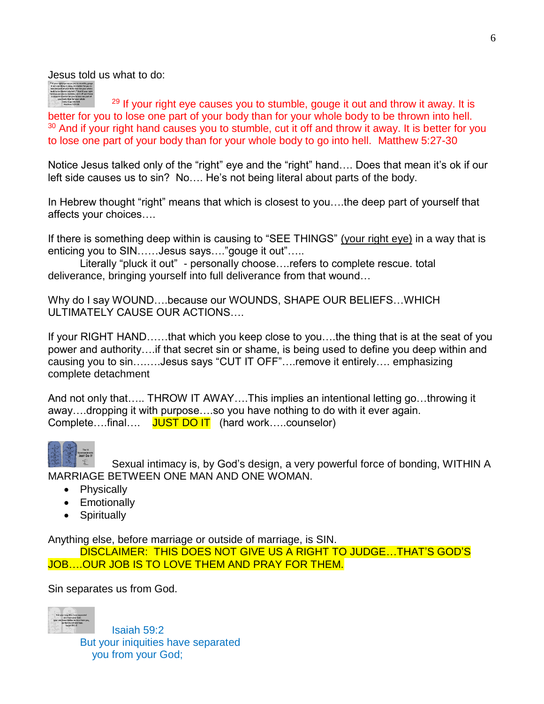Jesus told us what to do:



 $29$  If your right eye causes you to stumble, gouge it out and throw it away. It is better for you to lose one part of your body than for your whole body to be thrown into hell. <sup>30</sup> And if your right hand causes you to stumble, cut it off and throw it away. It is better for you to lose one part of your body than for your whole body to go into hell. Matthew 5:27-30

Notice Jesus talked only of the "right" eye and the "right" hand…. Does that mean it's ok if our left side causes us to sin? No…. He's not being literal about parts of the body.

In Hebrew thought "right" means that which is closest to you….the deep part of yourself that affects your choices….

If there is something deep within is causing to "SEE THINGS" (your right eye) in a way that is enticing you to SIN……Jesus says…."gouge it out"…..

Literally "pluck it out" - personally choose….refers to complete rescue. total deliverance, bringing yourself into full deliverance from that wound…

Why do I say WOUND….because our WOUNDS, SHAPE OUR BELIEFS…WHICH ULTIMATELY CAUSE OUR ACTIONS….

If your RIGHT HAND……that which you keep close to you….the thing that is at the seat of you power and authority….if that secret sin or shame, is being used to define you deep within and causing you to sin….….Jesus says "CUT IT OFF"….remove it entirely…. emphasizing complete detachment

And not only that….. THROW IT AWAY….This implies an intentional letting go…throwing it away….dropping it with purpose….so you have nothing to do with it ever again. Complete....final.... JUST DO IT (hard work.....counselor)



Sexual intimacy is, by God's design, a very powerful force of bonding, WITHIN A MARRIAGE BETWEEN ONE MAN AND ONE WOMAN.

- Physically
- Emotionally
- Spiritually

Anything else, before marriage or outside of marriage, is SIN.

DISCLAIMER: THIS DOES NOT GIVE US A RIGHT TO JUDGE…THAT'S GOD'S JOB….OUR JOB IS TO LOVE THEM AND PRAY FOR THEM.

Sin separates us from God.



Isaiah 59:2 But your iniquities have separated you from your God;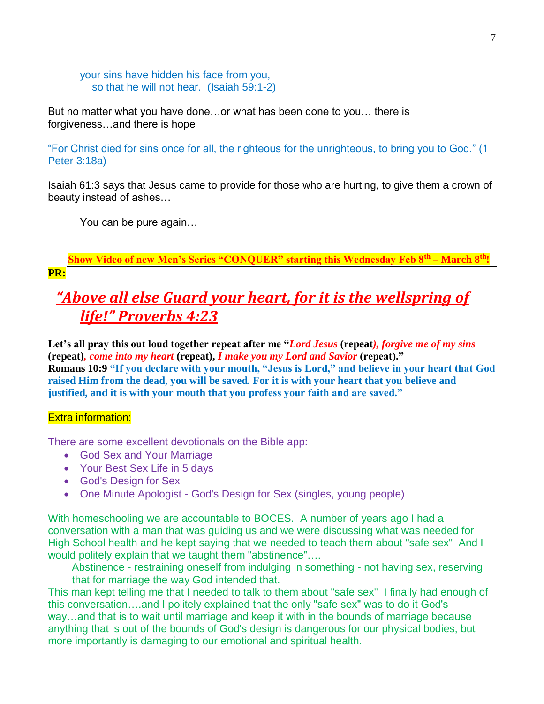your sins have hidden his face from you, so that he will not hear. (Isaiah 59:1-2)

But no matter what you have done…or what has been done to you… there is forgiveness…and there is hope

"For Christ died for sins once for all, the righteous for the unrighteous, to bring you to God." (1 Peter 3:18a)

Isaiah 61:3 says that Jesus came to provide for those who are hurting, to give them a crown of beauty instead of ashes…

You can be pure again…

**Show Video of new Men's Series "CONQUER" starting this Wednesday Feb 8th – March 8th! PR:**

# *"Above all else Guard your heart, for it is the wellspring of life!" Proverbs 4:23*

**Let's all pray this out loud together repeat after me "***Lord Jesus* **(repeat***), forgive me of my sins*  **(repeat)***, come into my heart* **(repeat),** *I make you my Lord and Savior* **(repeat)." Romans 10:9 "If you declare with your mouth, "Jesus is Lord," and believe in your heart that God raised Him from the dead, you will be saved. For it is with your heart that you believe and justified, and it is with your mouth that you profess your faith and are saved."**

#### Extra information:

There are some excellent devotionals on the Bible app:

- God Sex and Your Marriage
- Your Best Sex Life in 5 days
- God's Design for Sex
- One Minute Apologist God's Design for Sex (singles, young people)

With homeschooling we are accountable to BOCES. A number of years ago I had a conversation with a man that was guiding us and we were discussing what was needed for High School health and he kept saying that we needed to teach them about "safe sex" And I would politely explain that we taught them "abstinence"….

Abstinence - restraining oneself from indulging in something - not having sex, reserving that for marriage the way God intended that.

This man kept telling me that I needed to talk to them about "safe sex" I finally had enough of this conversation….and I politely explained that the only "safe sex" was to do it God's way…and that is to wait until marriage and keep it with in the bounds of marriage because anything that is out of the bounds of God's design is dangerous for our physical bodies, but more importantly is damaging to our emotional and spiritual health.